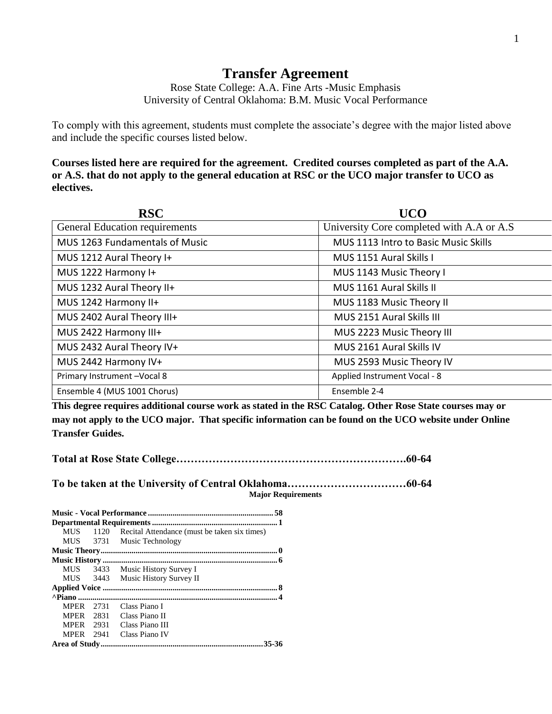## **Transfer Agreement**

Rose State College: A.A. Fine Arts -Music Emphasis University of Central Oklahoma: B.M. Music Vocal Performance

To comply with this agreement, students must complete the associate's degree with the major listed above and include the specific courses listed below.

**Courses listed here are required for the agreement. Credited courses completed as part of the A.A. or A.S. that do not apply to the general education at RSC or the UCO major transfer to UCO as electives.**

| <b>RSC</b>                            | <b>UCO</b>                                |
|---------------------------------------|-------------------------------------------|
| <b>General Education requirements</b> | University Core completed with A.A or A.S |
| MUS 1263 Fundamentals of Music        | MUS 1113 Intro to Basic Music Skills      |
| MUS 1212 Aural Theory I+              | MUS 1151 Aural Skills I                   |
| MUS 1222 Harmony I+                   | MUS 1143 Music Theory I                   |
| MUS 1232 Aural Theory II+             | MUS 1161 Aural Skills II                  |
| MUS 1242 Harmony II+                  | MUS 1183 Music Theory II                  |
| MUS 2402 Aural Theory III+            | MUS 2151 Aural Skills III                 |
| MUS 2422 Harmony III+                 | MUS 2223 Music Theory III                 |
| MUS 2432 Aural Theory IV+             | MUS 2161 Aural Skills IV                  |
| MUS 2442 Harmony IV+                  | MUS 2593 Music Theory IV                  |
| Primary Instrument - Vocal 8          | Applied Instrument Vocal - 8              |
| Ensemble 4 (MUS 1001 Chorus)          | Ensemble 2-4                              |

**This degree requires additional course work as stated in the RSC Catalog. Other Rose State courses may or may not apply to the UCO major. That specific information can be found on the UCO website under Online Transfer Guides.** 

**Total at Rose State College……………………………………………………….60-64**

**To be taken at the University of Central Oklahoma……………………………60-64 Major Requirements**

| <b>MUS</b>  |      | 1120 Recital Attendance (must be taken six times) |  |
|-------------|------|---------------------------------------------------|--|
|             |      | MUS 3731 Music Technology                         |  |
|             |      |                                                   |  |
|             |      |                                                   |  |
| <b>MUS</b>  |      | 3433 Music History Survey I                       |  |
| <b>MUS</b>  |      | 3443 Music History Survey II                      |  |
|             |      |                                                   |  |
|             |      |                                                   |  |
| <b>MPER</b> | 2731 | Class Piano I                                     |  |
| <b>MPER</b> | 2831 | Class Piano II                                    |  |
| <b>MPER</b> | 2931 | Class Piano III                                   |  |
| <b>MPER</b> | 2941 | Class Piano IV                                    |  |
| 35-36       |      |                                                   |  |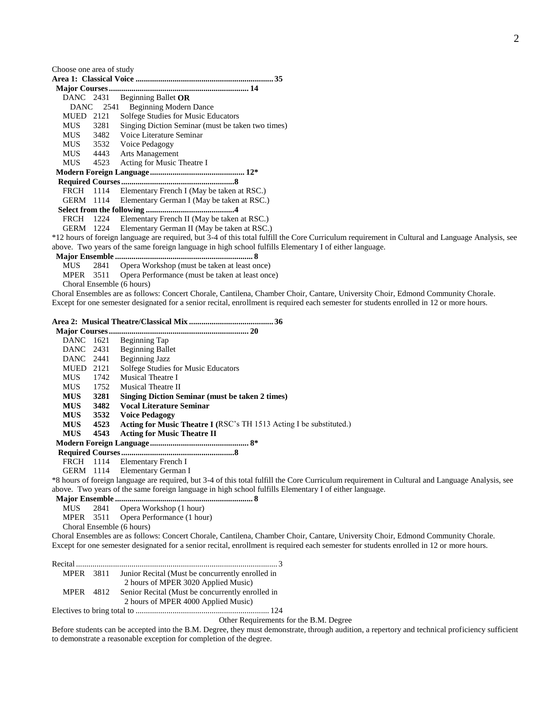Choose one area of study

|            |      | .35                                                                           |
|------------|------|-------------------------------------------------------------------------------|
|            |      |                                                                               |
| DANC 2431  |      | Beginning Ballet OR                                                           |
| DANC       | 2541 | <b>Beginning Modern Dance</b>                                                 |
| MUED       | 2121 | Solfege Studies for Music Educators                                           |
| <b>MUS</b> | 3281 | Singing Diction Seminar (must be taken two times)                             |
| <b>MUS</b> | 3482 | Voice Literature Seminar                                                      |
| <b>MUS</b> |      | 3532 Voice Pedagogy                                                           |
| <b>MUS</b> | 4443 | <b>Arts Management</b>                                                        |
| <b>MUS</b> | 4523 | Acting for Music Theatre I                                                    |
|            |      |                                                                               |
|            |      |                                                                               |
| FRCH 1114  |      | Elementary French I (May be taken at RSC.)                                    |
|            |      | GERM 1114 Elementary German I (May be taken at RSC.)                          |
|            |      |                                                                               |
| FRCH       | 1224 | Elementary French II (May be taken at RSC.)                                   |
| GERM 1224  |      | Elementary German II (May be taken at RSC.)                                   |
|            |      | *12 hours of foreign language are required, but 3-4 of this total fulfill the |
|            |      |                                                                               |

ne Core Curriculum requirement in Cultural and Language Analysis, see above. Two years of the same foreign language in high school fulfills Elementary I of either language.

 **Major Ensemble ................................................................... 8**

MUS 2841 Opera Workshop (must be taken at least once)

MPER 3511 Opera Performance (must be taken at least once)

Choral Ensemble (6 hours)

Choral Ensembles are as follows: Concert Chorale, Cantilena, Chamber Choir, Cantare, University Choir, Edmond Community Chorale. Except for one semester designated for a senior recital, enrollment is required each semester for students enrolled in 12 or more hours.

**Area 2: Musical Theatre/Classical Mix ......................................... 36**

|                                                                       |      | 20                                                                  |
|-----------------------------------------------------------------------|------|---------------------------------------------------------------------|
| DANC 1621                                                             |      | Beginning Tap                                                       |
| DANC 2431                                                             |      | <b>Beginning Ballet</b>                                             |
| DANC 2441                                                             |      | Beginning Jazz                                                      |
| MUED                                                                  | 2121 | Solfege Studies for Music Educators                                 |
| <b>MUS</b>                                                            | 1742 | Musical Theatre I                                                   |
| <b>MUS</b>                                                            | 1752 | Musical Theatre II                                                  |
| <b>MUS</b>                                                            | 3281 | Singing Diction Seminar (must be taken 2 times)                     |
| <b>MUS</b>                                                            | 3482 | <b>Vocal Literature Seminar</b>                                     |
| <b>MUS</b>                                                            | 3532 | <b>Voice Pedagogy</b>                                               |
| <b>MUS</b>                                                            | 4523 | Acting for Music Theatre I (RSC's TH 1513 Acting I be substituted.) |
| <b>MUS</b>                                                            | 4543 | <b>Acting for Music Theatre II</b>                                  |
|                                                                       |      |                                                                     |
| $\mathbf{D}_{\alpha\alpha\mathbf{u}}$ $\mathbf{L}_{\alpha\mathbf{u}}$ |      | ₽                                                                   |

 **Required Courses.......................................................8**

FRCH 1114 Elementary French I

GERM 1114 Elementary German I

\*8 hours of foreign language are required, but 3-4 of this total fulfill the Core Curriculum requirement in Cultural and Language Analysis, see above. Two years of the same foreign language in high school fulfills Elementary I of either language.

 **Major Ensemble ................................................................... 8**

MUS 2841 Opera Workshop (1 hour) MPER 3511 Opera Performance (1 hour)

Choral Ensemble (6 hours)

Choral Ensembles are as follows: Concert Chorale, Cantilena, Chamber Choir, Cantare, University Choir, Edmond Community Chorale. Except for one semester designated for a senior recital, enrollment is required each semester for students enrolled in 12 or more hours.

| <b>MPER</b> 3811 | Junior Recital (Must be concurrently enrolled in |
|------------------|--------------------------------------------------|
|                  | 2 hours of MPER 3020 Applied Music)              |
| MPER 4812        | Senior Recital (Must be concurrently enrolled in |
|                  | 2 hours of MPER 4000 Applied Music)              |
|                  |                                                  |

Other Requirements for the B.M. Degree

Before students can be accepted into the B.M. Degree, they must demonstrate, through audition, a repertory and technical proficiency sufficient to demonstrate a reasonable exception for completion of the degree.